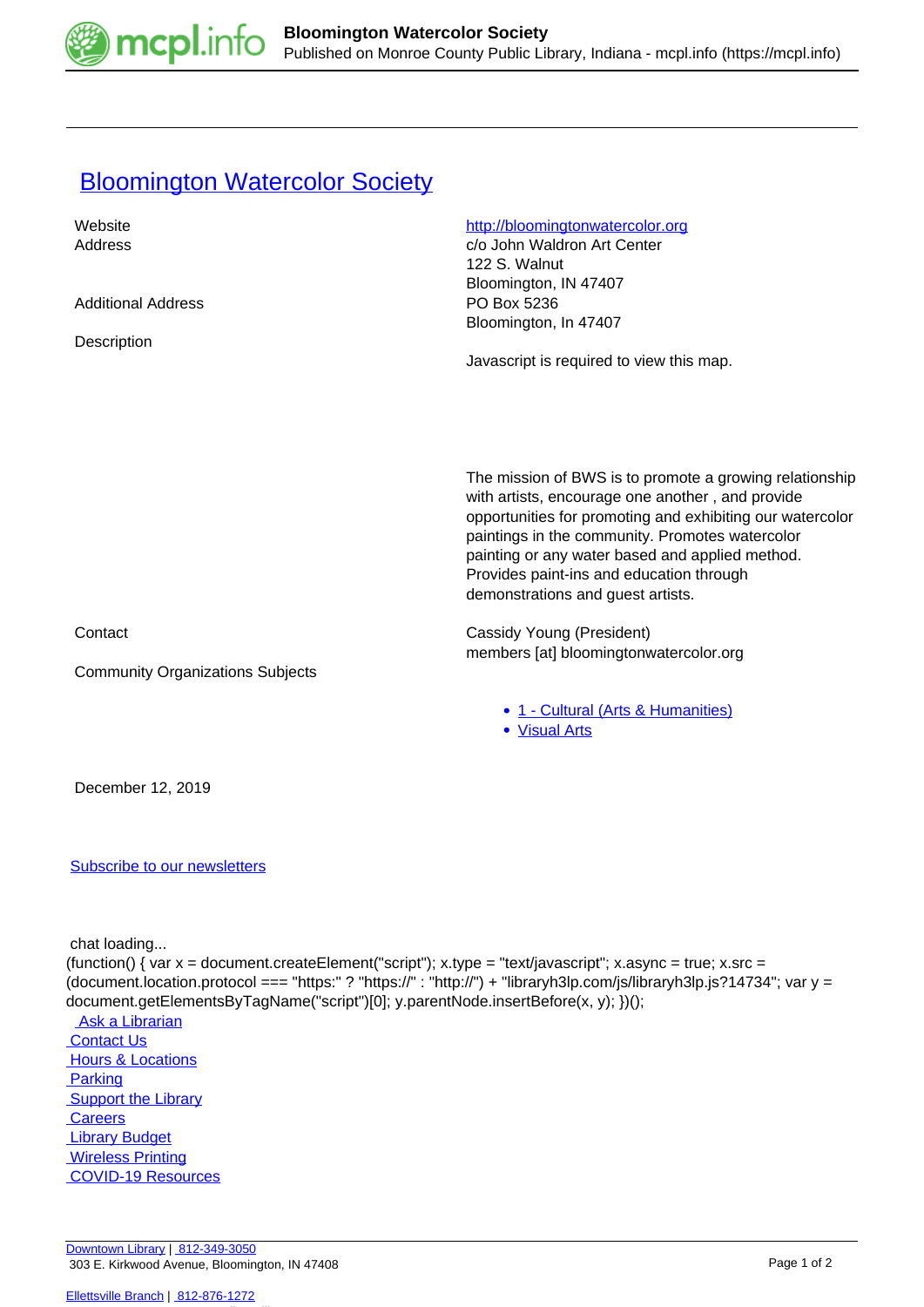

## **[Bloomington Watercolor Society](https://mcpl.info/commorg/bloomington-watercolor-society)**

| Website                                 | http://bloomingtonwatercolor.org                          |
|-----------------------------------------|-----------------------------------------------------------|
| Address                                 | c/o John Waldron Art Center                               |
|                                         | 122 S. Walnut                                             |
|                                         | Bloomington, IN 47407                                     |
| <b>Additional Address</b>               | PO Box 5236                                               |
|                                         | Bloomington, In 47407                                     |
| Description                             |                                                           |
|                                         | Javascript is required to view this map.                  |
|                                         |                                                           |
|                                         |                                                           |
|                                         |                                                           |
|                                         |                                                           |
|                                         |                                                           |
|                                         |                                                           |
|                                         | The mission of BWS is to promote a growing relationship   |
|                                         | with artists, encourage one another, and provide          |
|                                         | opportunities for promoting and exhibiting our watercolor |
|                                         | paintings in the community. Promotes watercolor           |
|                                         | painting or any water based and applied method.           |
|                                         | Provides paint-ins and education through                  |
|                                         | demonstrations and guest artists.                         |
|                                         |                                                           |
| Contact                                 | Cassidy Young (President)                                 |
|                                         | members [at] bloomingtonwatercolor.org                    |
|                                         |                                                           |
| <b>Community Organizations Subjects</b> |                                                           |
|                                         |                                                           |
|                                         | • 1 - Cultural (Arts & Humanities)                        |
|                                         | • Visual Arts                                             |
|                                         |                                                           |
|                                         |                                                           |
| December 12, 2019                       |                                                           |
|                                         |                                                           |
|                                         |                                                           |
| <b>Subscribe to our newsletters</b>     |                                                           |
|                                         |                                                           |

chat loading...

(function() { var  $x =$  document.createElement("script");  $x.$ type = "text/javascript";  $x.$ async = true;  $x.$ src = (document.location.protocol === "https:" ? "https://" : "http://") + "libraryh3lp.com/js/libraryh3lp.js?14734"; var y = document.getElementsByTagName("script")[0]; y.parentNode.insertBefore(x, y); })();

Ask a Librarian **Contact Us Hours & Locations**  [Parking](https://mcpl.info/parking?utm_source=footer&utm_medium=links&utm_campaign=parking) **Support the Library Careers Library Budget**  [Wireless Printing](https://tbs.eprintit.com/portal/#/ppl/upload/monroecpl)  [COVID-19 Resources](https://mcpl.info/geninfo/local-covid-resources)